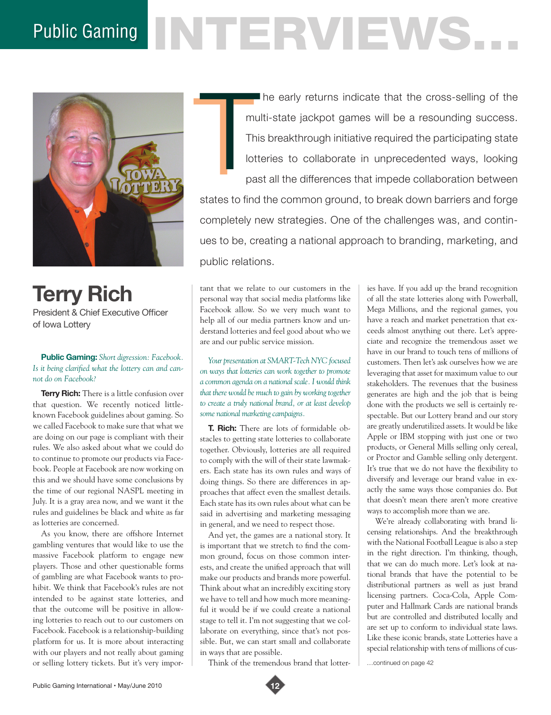# Public Gaming NTERVENS.



**Terry Rich** President & Chief Executive Officer of Iowa Lottery

**Public Gaming:** *Short digression: Facebook. Is it being clarified what the lottery can and cannot do on Facebook?*

**Terry Rich:** There is a little confusion over that question. We recently noticed littleknown Facebook guidelines about gaming. So we called Facebook to make sure that what we are doing on our page is compliant with their rules. We also asked about what we could do to continue to promote our products via Facebook. People at Facebook are now working on this and we should have some conclusions by the time of our regional NASPL meeting in July. It is a gray area now, and we want it the rules and guidelines be black and white as far as lotteries are concerned.

As you know, there are offshore Internet gambling ventures that would like to use the massive Facebook platform to engage new players. Those and other questionable forms of gambling are what Facebook wants to prohibit. We think that Facebook's rules are not intended to be against state lotteries, and that the outcome will be positive in allowing lotteries to reach out to our customers on Facebook. Facebook is a relationship-building platform for us. It is more about interacting with our players and not really about gaming or selling lottery tickets. But it's very imporT he early returns indicate that the cross-selling of the multi-state jackpot games will be a resounding success. This breakthrough initiative required the participating state lotteries to collaborate in unprecedented ways, looking past all the differences that impede collaboration between states to find the common ground, to break down barriers and forge completely new strategies. One of the challenges was, and continmu<br>Thi<br>Iotti<br>pas

ues to be, creating a national approach to branding, marketing, and public relations.

tant that we relate to our customers in the personal way that social media platforms like Facebook allow. So we very much want to help all of our media partners know and understand lotteries and feel good about who we are and our public service mission.

*Your presentation at SMART-Tech NYC focused on ways that lotteries can work together to promote a common agenda on a national scale. I would think that there would be much to gain by working together to create a truly national brand, or at least develop some national marketing campaigns.* 

**T. Rich:** There are lots of formidable obstacles to getting state lotteries to collaborate together. Obviously, lotteries are all required to comply with the will of their state lawmakers. Each state has its own rules and ways of doing things. So there are differences in approaches that affect even the smallest details. Each state has its own rules about what can be said in advertising and marketing messaging in general, and we need to respect those.

And yet, the games are a national story. It is important that we stretch to find the common ground, focus on those common interests, and create the unified approach that will make our products and brands more powerful. Think about what an incredibly exciting story we have to tell and how much more meaningful it would be if we could create a national stage to tell it. I'm not suggesting that we collaborate on everything, since that's not possible. But, we can start small and collaborate in ways that are possible.

Think of the tremendous brand that lotter-

ies have. If you add up the brand recognition of all the state lotteries along with Powerball, Mega Millions, and the regional games, you have a reach and market penetration that exceeds almost anything out there. Let's appreciate and recognize the tremendous asset we have in our brand to touch tens of millions of customers. Then let's ask ourselves how we are leveraging that asset for maximum value to our stakeholders. The revenues that the business generates are high and the job that is being done with the products we sell is certainly respectable. But our Lottery brand and our story are greatly underutilized assets. It would be like Apple or IBM stopping with just one or two products, or General Mills selling only cereal, or Proctor and Gamble selling only detergent. It's true that we do not have the flexibility to diversify and leverage our brand value in exactly the same ways those companies do. But that doesn't mean there aren't more creative ways to accomplish more than we are.

We're already collaborating with brand licensing relationships. And the breakthrough with the National Football League is also a step in the right direction. I'm thinking, though, that we can do much more. Let's look at national brands that have the potential to be distributional partners as well as just brand licensing partners. Coca-Cola, Apple Computer and Hallmark Cards are national brands but are controlled and distributed locally and are set up to conform to individual state laws. Like these iconic brands, state Lotteries have a special relationship with tens of millions of cus-

…continued on page 42

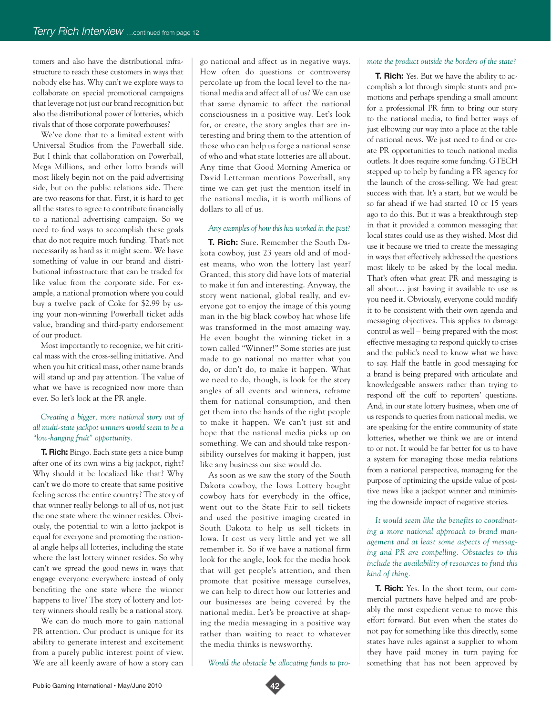tomers and also have the distributional infrastructure to reach these customers in ways that nobody else has. Why can't we explore ways to collaborate on special promotional campaigns that leverage not just our brand recognition but also the distributional power of lotteries, which rivals that of those corporate powerhouses?

We've done that to a limited extent with Universal Studios from the Powerball side. But I think that collaboration on Powerball, Mega Millions, and other lotto brands will most likely begin not on the paid advertising side, but on the public relations side. There are two reasons for that. First, it is hard to get all the states to agree to contribute financially to a national advertising campaign. So we need to find ways to accomplish these goals that do not require much funding. That's not necessarily as hard as it might seem. We have something of value in our brand and distributional infrastructure that can be traded for like value from the corporate side. For example, a national promotion where you could buy a twelve pack of Coke for \$2.99 by using your non-winning Powerball ticket adds value, branding and third-party endorsement of our product.

Most importantly to recognize, we hit critical mass with the cross-selling initiative. And when you hit critical mass, other name brands will stand up and pay attention. The value of what we have is recognized now more than ever. So let's look at the PR angle.

## *Creating a bigger, more national story out of all multi-state jackpot winners would seem to be a "low-hanging fruit" opportunity.*

**T. Rich:** Bingo. Each state gets a nice bump after one of its own wins a big jackpot, right? Why should it be localized like that? Why can't we do more to create that same positive feeling across the entire country? The story of that winner really belongs to all of us, not just the one state where the winner resides. Obviously, the potential to win a lotto jackpot is equal for everyone and promoting the national angle helps all lotteries, including the state where the last lottery winner resides. So why can't we spread the good news in ways that engage everyone everywhere instead of only benefiting the one state where the winner happens to live? The story of lottery and lottery winners should really be a national story.

We can do much more to gain national PR attention. Our product is unique for its ability to generate interest and excitement from a purely public interest point of view. We are all keenly aware of how a story can go national and affect us in negative ways. How often do questions or controversy percolate up from the local level to the national media and affect all of us? We can use that same dynamic to affect the national consciousness in a positive way. Let's look for, or create, the story angles that are interesting and bring them to the attention of those who can help us forge a national sense of who and what state lotteries are all about. Any time that Good Morning America or David Letterman mentions Powerball, any time we can get just the mention itself in the national media, it is worth millions of dollars to all of us.

### *Any examples of how this has worked in the past?*

**T. Rich:** Sure. Remember the South Dakota cowboy, just 23 years old and of modest means, who won the lottery last year? Granted, this story did have lots of material to make it fun and interesting. Anyway, the story went national, global really, and everyone got to enjoy the image of this young man in the big black cowboy hat whose life was transformed in the most amazing way. He even bought the winning ticket in a town called "Winner!" Some stories are just made to go national no matter what you do, or don't do, to make it happen. What we need to do, though, is look for the story angles of all events and winners, reframe them for national consumption, and then get them into the hands of the right people to make it happen. We can't just sit and hope that the national media picks up on something. We can and should take responsibility ourselves for making it happen, just like any business our size would do.

As soon as we saw the story of the South Dakota cowboy, the Iowa Lottery bought cowboy hats for everybody in the office, went out to the State Fair to sell tickets and used the positive imaging created in South Dakota to help us sell tickets in Iowa. It cost us very little and yet we all remember it. So if we have a national firm look for the angle, look for the media hook that will get people's attention, and then promote that positive message ourselves, we can help to direct how our lotteries and our businesses are being covered by the national media. Let's be proactive at shaping the media messaging in a positive way rather than waiting to react to whatever the media thinks is newsworthy.

*Would the obstacle be allocating funds to pro-*

#### *mote the product outside the borders of the state?*

**T. Rich:** Yes. But we have the ability to accomplish a lot through simple stunts and promotions and perhaps spending a small amount for a professional PR firm to bring our story to the national media, to find better ways of just elbowing our way into a place at the table of national news. We just need to find or create PR opportunities to touch national media outlets. It does require some funding. GTECH stepped up to help by funding a PR agency for the launch of the cross-selling. We had great success with that. It's a start, but we would be so far ahead if we had started 10 or 15 years ago to do this. But it was a breakthrough step in that it provided a common messaging that local states could use as they wished. Most did use it because we tried to create the messaging in ways that effectively addressed the questions most likely to be asked by the local media. That's often what great PR and messaging is all about… just having it available to use as you need it. Obviously, everyone could modify it to be consistent with their own agenda and messaging objectives. This applies to damage control as well – being prepared with the most effective messaging to respond quickly to crises and the public's need to know what we have to say. Half the battle in good messaging for a brand is being prepared with articulate and knowledgeable answers rather than trying to respond off the cuff to reporters' questions. And, in our state lottery business, when one of us responds to queries from national media, we are speaking for the entire community of state lotteries, whether we think we are or intend to or not. It would be far better for us to have a system for managing those media relations from a national perspective, managing for the purpose of optimizing the upside value of positive news like a jackpot winner and minimizing the downside impact of negative stories.

*It would seem like the benefits to coordinating a more national approach to brand management and at least some aspects of messaging and PR are compelling. Obstacles to this include the availability of resources to fund this kind of thing.* 

**T. Rich:** Yes. In the short term, our commercial partners have helped and are probably the most expedient venue to move this effort forward. But even when the states do not pay for something like this directly, some states have rules against a supplier to whom they have paid money in turn paying for something that has not been approved by

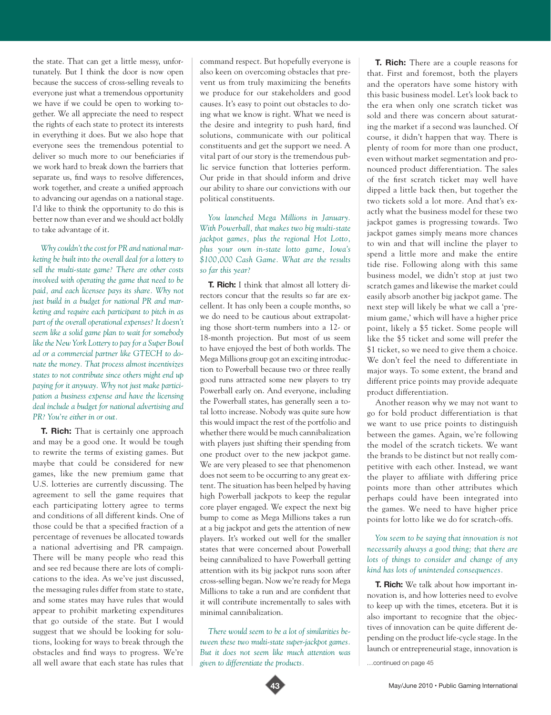the state. That can get a little messy, unfortunately. But I think the door is now open because the success of cross-selling reveals to everyone just what a tremendous opportunity we have if we could be open to working together. We all appreciate the need to respect the rights of each state to protect its interests in everything it does. But we also hope that everyone sees the tremendous potential to deliver so much more to our beneficiaries if we work hard to break down the barriers that separate us, find ways to resolve differences, work together, and create a unified approach to advancing our agendas on a national stage. I'd like to think the opportunity to do this is better now than ever and we should act boldly to take advantage of it.

*Why couldn't the cost for PR and national marketing be built into the overall deal for a lottery to sell the multi-state game? There are other costs involved with operating the game that need to be paid, and each licensee pays its share. Why not just build in a budget for national PR and marketing and require each participant to pitch in as part of the overall operational expenses? It doesn't seem like a solid game plan to wait for somebody like the New York Lottery to pay for a Super Bowl ad or a commercial partner like GTECH to donate the money. That process almost incentivizes states to not contribute since others might end up paying for it anyway. Why not just make participation a business expense and have the licensing deal include a budget for national advertising and PR? You're either in or out.* 

**T. Rich:** That is certainly one approach and may be a good one. It would be tough to rewrite the terms of existing games. But maybe that could be considered for new games, like the new premium game that U.S. lotteries are currently discussing. The agreement to sell the game requires that each participating lottery agree to terms and conditions of all different kinds. One of those could be that a specified fraction of a percentage of revenues be allocated towards a national advertising and PR campaign. There will be many people who read this and see red because there are lots of complications to the idea. As we've just discussed, the messaging rules differ from state to state, and some states may have rules that would appear to prohibit marketing expenditures that go outside of the state. But I would suggest that we should be looking for solutions, looking for ways to break through the obstacles and find ways to progress. We're all well aware that each state has rules that

command respect. But hopefully everyone is also keen on overcoming obstacles that prevent us from truly maximizing the benefits we produce for our stakeholders and good causes. It's easy to point out obstacles to doing what we know is right. What we need is the desire and integrity to push hard, find solutions, communicate with our political constituents and get the support we need. A vital part of our story is the tremendous public service function that lotteries perform. Our pride in that should inform and drive our ability to share our convictions with our political constituents.

*You launched Mega Millions in January. With Powerball, that makes two big multi-state jackpot games, plus the regional Hot Lotto, plus your own in-state lotto game, Iowa's \$100,000 Cash Game. What are the results so far this year?* 

**T. Rich:** I think that almost all lottery directors concur that the results so far are excellent. It has only been a couple months, so we do need to be cautious about extrapolating those short-term numbers into a 12- or 18-month projection. But most of us seem to have enjoyed the best of both worlds. The Mega Millions group got an exciting introduction to Powerball because two or three really good runs attracted some new players to try Powerball early on. And everyone, including the Powerball states, has generally seen a total lotto increase. Nobody was quite sure how this would impact the rest of the portfolio and whether there would be much cannibalization with players just shifting their spending from one product over to the new jackpot game. We are very pleased to see that phenomenon does not seem to be occurring to any great extent. The situation has been helped by having high Powerball jackpots to keep the regular core player engaged. We expect the next big bump to come as Mega Millions takes a run at a big jackpot and gets the attention of new players. It's worked out well for the smaller states that were concerned about Powerball being cannibalized to have Powerball getting attention with its big jackpot runs soon after cross-selling began. Now we're ready for Mega Millions to take a run and are confident that it will contribute incrementally to sales with minimal cannibalization.

*There would seem to be a lot of similarities between these two multi-state super-jackpot games. But it does not seem like much attention was given to differentiate the products.*

**T. Rich:** There are a couple reasons for that. First and foremost, both the players and the operators have some history with this basic business model. Let's look back to the era when only one scratch ticket was sold and there was concern about saturating the market if a second was launched. Of course, it didn't happen that way. There is plenty of room for more than one product, even without market segmentation and pronounced product differentiation. The sales of the first scratch ticket may well have dipped a little back then, but together the two tickets sold a lot more. And that's exactly what the business model for these two jackpot games is progressing towards. Two jackpot games simply means more chances to win and that will incline the player to spend a little more and make the entire tide rise. Following along with this same business model, we didn't stop at just two scratch games and likewise the market could easily absorb another big jackpot game. The next step will likely be what we call a 'premium game,' which will have a higher price point, likely a \$5 ticket. Some people will like the \$5 ticket and some will prefer the \$1 ticket, so we need to give them a choice. We don't feel the need to differentiate in major ways. To some extent, the brand and different price points may provide adequate product differentiation.

Another reason why we may not want to go for bold product differentiation is that we want to use price points to distinguish between the games. Again, we're following the model of the scratch tickets. We want the brands to be distinct but not really competitive with each other. Instead, we want the player to affiliate with differing price points more than other attributes which perhaps could have been integrated into the games. We need to have higher price points for lotto like we do for scratch-offs.

## *You seem to be saying that innovation is not necessarily always a good thing; that there are lots of things to consider and change of any kind has lots of unintended consequences.*

**T. Rich:** We talk about how important innovation is, and how lotteries need to evolve to keep up with the times, etcetera. But it is also important to recognize that the objectives of innovation can be quite different depending on the product life-cycle stage. In the launch or entrepreneurial stage, innovation is

…continued on page 45